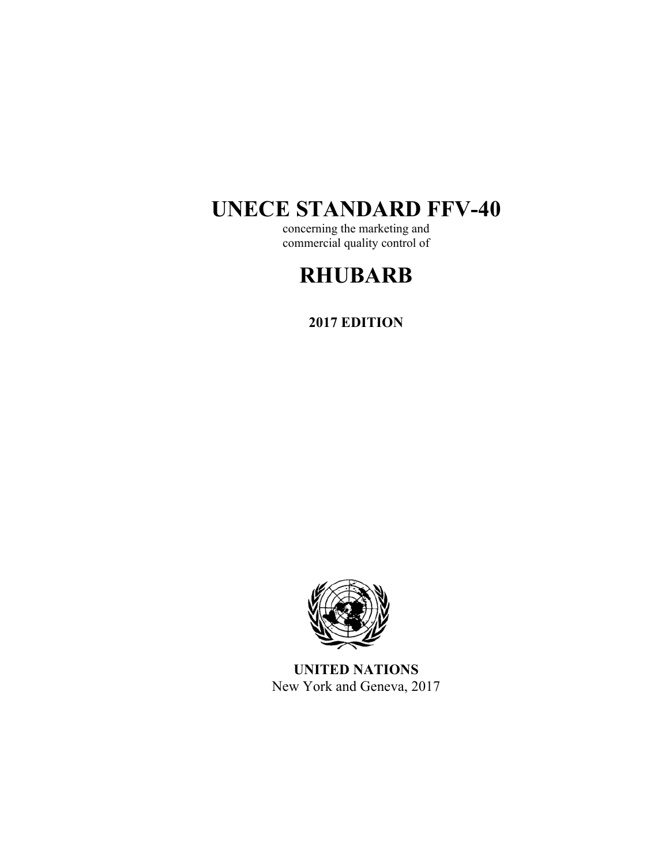# **UNECE STANDARD FFV-40**

concerning the marketing and commercial quality control of

# **RHUBARB**

**2017 EDITION** 



**UNITED NATIONS**  New York and Geneva, 2017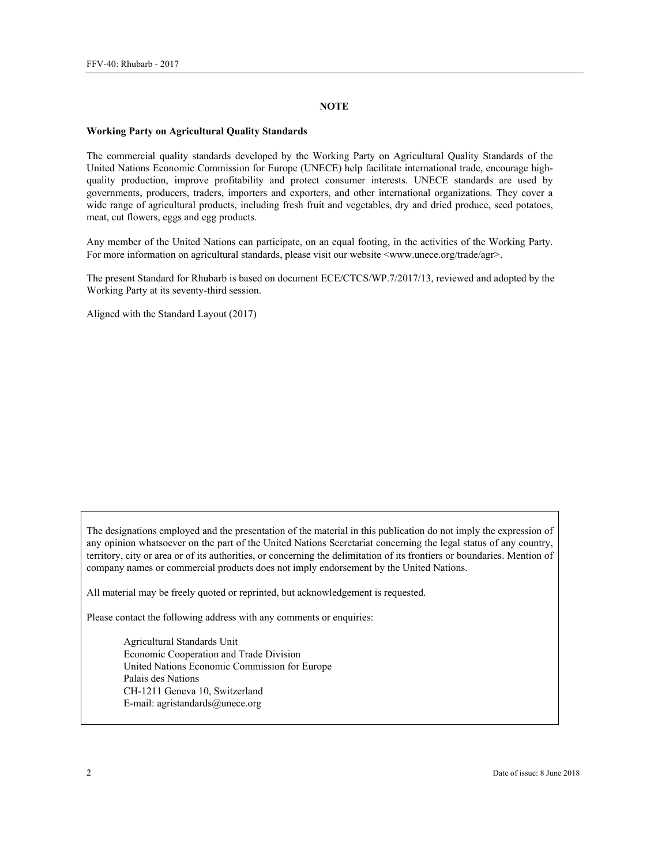#### **NOTE**

#### **Working Party on Agricultural Quality Standards**

The commercial quality standards developed by the Working Party on Agricultural Quality Standards of the United Nations Economic Commission for Europe (UNECE) help facilitate international trade, encourage highquality production, improve profitability and protect consumer interests. UNECE standards are used by governments, producers, traders, importers and exporters, and other international organizations. They cover a wide range of agricultural products, including fresh fruit and vegetables, dry and dried produce, seed potatoes, meat, cut flowers, eggs and egg products.

Any member of the United Nations can participate, on an equal footing, in the activities of the Working Party. For more information on agricultural standards, please visit our website <www.unece.org/trade/agr>.

The present Standard for Rhubarb is based on document ECE/CTCS/WP.7/2017/13, reviewed and adopted by the Working Party at its seventy-third session.

Aligned with the Standard Layout (2017)

The designations employed and the presentation of the material in this publication do not imply the expression of any opinion whatsoever on the part of the United Nations Secretariat concerning the legal status of any country, territory, city or area or of its authorities, or concerning the delimitation of its frontiers or boundaries. Mention of company names or commercial products does not imply endorsement by the United Nations.

All material may be freely quoted or reprinted, but acknowledgement is requested.

Please contact the following address with any comments or enquiries:

Agricultural Standards Unit Economic Cooperation and Trade Division United Nations Economic Commission for Europe Palais des Nations CH-1211 Geneva 10, Switzerland E-mail: agristandards@unece.org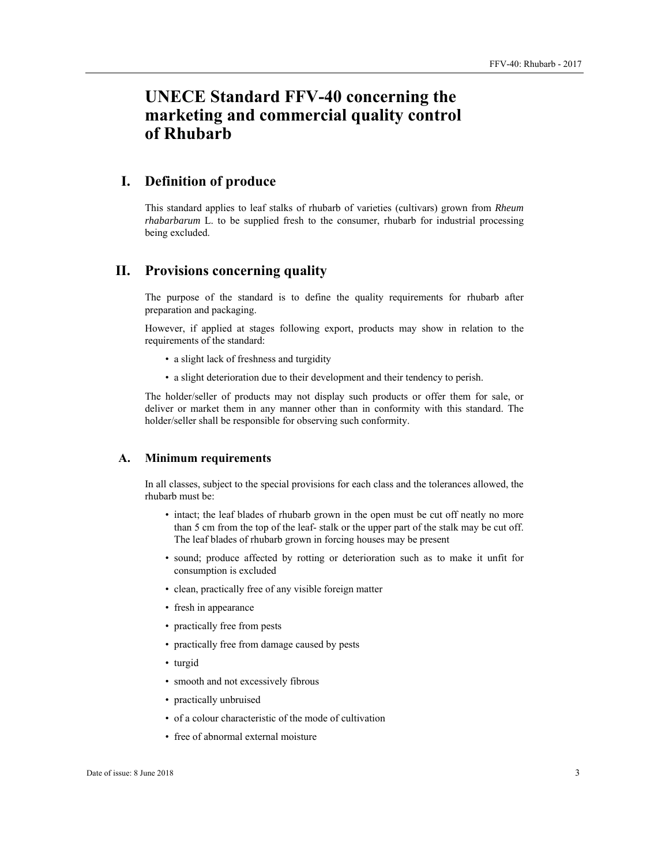## **UNECE Standard FFV-40 concerning the marketing and commercial quality control of Rhubarb**

## **I. Definition of produce**

This standard applies to leaf stalks of rhubarb of varieties (cultivars) grown from *Rheum rhabarbarum* L. to be supplied fresh to the consumer, rhubarb for industrial processing being excluded.

## **II. Provisions concerning quality**

The purpose of the standard is to define the quality requirements for rhubarb after preparation and packaging.

However, if applied at stages following export, products may show in relation to the requirements of the standard:

- a slight lack of freshness and turgidity
- a slight deterioration due to their development and their tendency to perish.

The holder/seller of products may not display such products or offer them for sale, or deliver or market them in any manner other than in conformity with this standard. The holder/seller shall be responsible for observing such conformity.

### **A. Minimum requirements**

In all classes, subject to the special provisions for each class and the tolerances allowed, the rhubarb must be:

- intact; the leaf blades of rhubarb grown in the open must be cut off neatly no more than 5 cm from the top of the leaf- stalk or the upper part of the stalk may be cut off. The leaf blades of rhubarb grown in forcing houses may be present
- sound; produce affected by rotting or deterioration such as to make it unfit for consumption is excluded
- clean, practically free of any visible foreign matter
- fresh in appearance
- practically free from pests
- practically free from damage caused by pests
- turgid
- smooth and not excessively fibrous
- practically unbruised
- of a colour characteristic of the mode of cultivation
- free of abnormal external moisture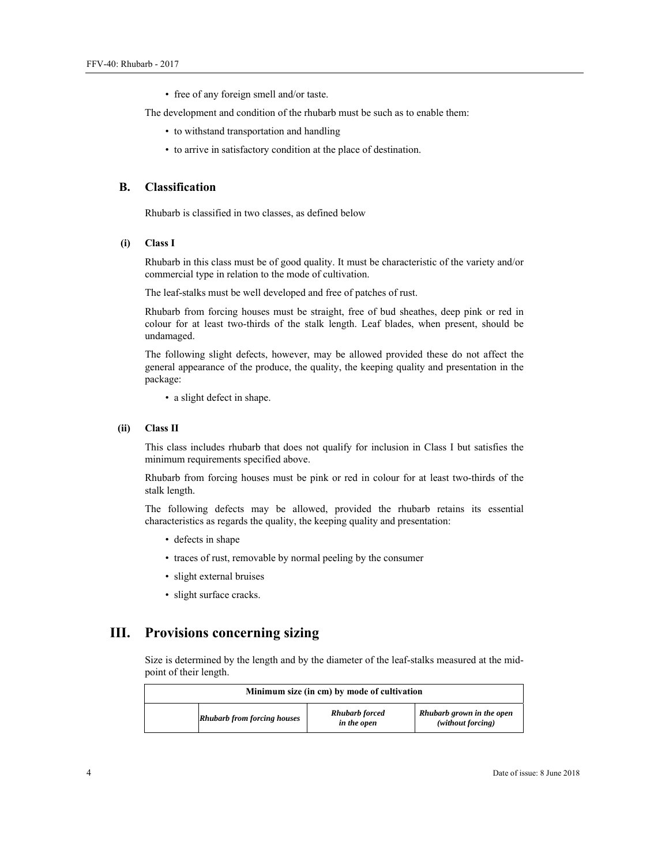• free of any foreign smell and/or taste.

The development and condition of the rhubarb must be such as to enable them:

- to withstand transportation and handling
- to arrive in satisfactory condition at the place of destination.

#### **B. Classification**

Rhubarb is classified in two classes, as defined below

#### **(i) Class I**

Rhubarb in this class must be of good quality. It must be characteristic of the variety and/or commercial type in relation to the mode of cultivation.

The leaf-stalks must be well developed and free of patches of rust.

Rhubarb from forcing houses must be straight, free of bud sheathes, deep pink or red in colour for at least two-thirds of the stalk length. Leaf blades, when present, should be undamaged.

The following slight defects, however, may be allowed provided these do not affect the general appearance of the produce, the quality, the keeping quality and presentation in the package:

• a slight defect in shape.

#### **(ii) Class II**

This class includes rhubarb that does not qualify for inclusion in Class I but satisfies the minimum requirements specified above.

Rhubarb from forcing houses must be pink or red in colour for at least two-thirds of the stalk length.

The following defects may be allowed, provided the rhubarb retains its essential characteristics as regards the quality, the keeping quality and presentation:

- defects in shape
- traces of rust, removable by normal peeling by the consumer
- slight external bruises
- slight surface cracks.

## **III. Provisions concerning sizing**

Size is determined by the length and by the diameter of the leaf-stalks measured at the midpoint of their length.

| Minimum size (in cm) by mode of cultivation |                                      |                                                |  |  |  |  |
|---------------------------------------------|--------------------------------------|------------------------------------------------|--|--|--|--|
| <b>Rhubarb from forcing houses</b>          | <b>Rhubarb</b> forced<br>in the open | Rhubarb grown in the open<br>(without forcing) |  |  |  |  |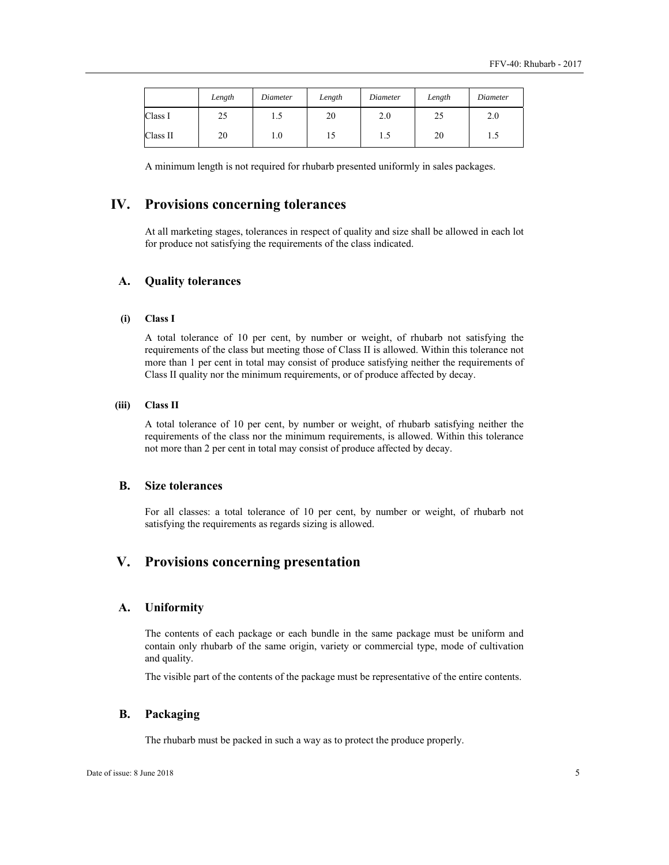|          | Length | Diameter | Length | Diameter | Length | Diameter |
|----------|--------|----------|--------|----------|--------|----------|
| Class I  | 25     | ر. 1     | 20     | 2.0      | 25     | 2.0      |
| Class II | 20     | 1.0      | 15     | 1.5      | 20     | 1.J      |

A minimum length is not required for rhubarb presented uniformly in sales packages.

## **IV. Provisions concerning tolerances**

At all marketing stages, tolerances in respect of quality and size shall be allowed in each lot for produce not satisfying the requirements of the class indicated.

#### **A. Quality tolerances**

#### **(i) Class I**

A total tolerance of 10 per cent, by number or weight, of rhubarb not satisfying the requirements of the class but meeting those of Class II is allowed. Within this tolerance not more than 1 per cent in total may consist of produce satisfying neither the requirements of Class II quality nor the minimum requirements, or of produce affected by decay.

#### **(iii) Class II**

A total tolerance of 10 per cent, by number or weight, of rhubarb satisfying neither the requirements of the class nor the minimum requirements, is allowed. Within this tolerance not more than 2 per cent in total may consist of produce affected by decay.

## **B. Size tolerances**

For all classes: a total tolerance of 10 per cent, by number or weight, of rhubarb not satisfying the requirements as regards sizing is allowed.

## **V. Provisions concerning presentation**

#### **A. Uniformity**

The contents of each package or each bundle in the same package must be uniform and contain only rhubarb of the same origin, variety or commercial type, mode of cultivation and quality.

The visible part of the contents of the package must be representative of the entire contents.

#### **B. Packaging**

The rhubarb must be packed in such a way as to protect the produce properly.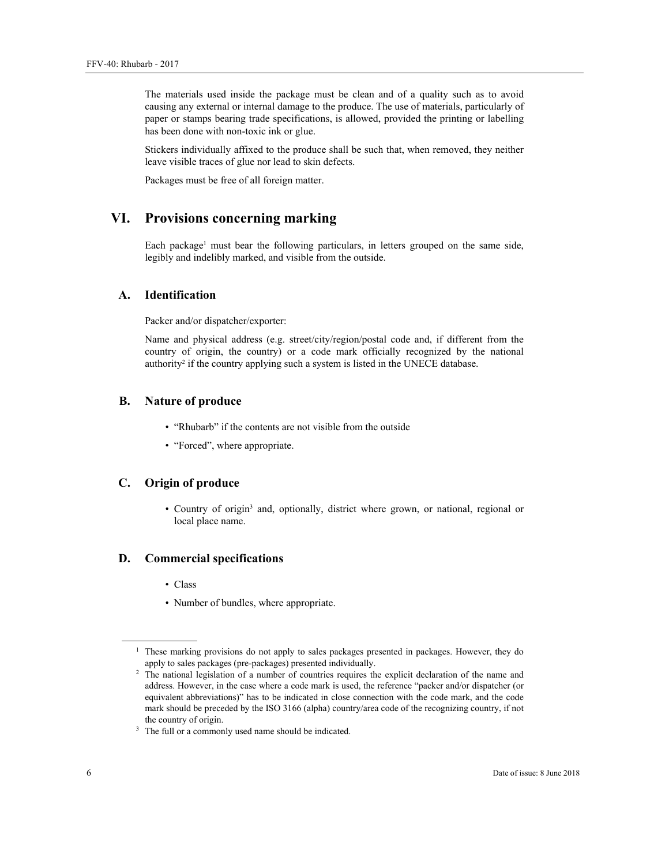The materials used inside the package must be clean and of a quality such as to avoid causing any external or internal damage to the produce. The use of materials, particularly of paper or stamps bearing trade specifications, is allowed, provided the printing or labelling has been done with non-toxic ink or glue.

Stickers individually affixed to the produce shall be such that, when removed, they neither leave visible traces of glue nor lead to skin defects.

Packages must be free of all foreign matter.

## **VI. Provisions concerning marking**

Each package<sup>1</sup> must bear the following particulars, in letters grouped on the same side, legibly and indelibly marked, and visible from the outside.

### **A. Identification**

Packer and/or dispatcher/exporter:

Name and physical address (e.g. street/city/region/postal code and, if different from the country of origin, the country) or a code mark officially recognized by the national authority<sup>2</sup> if the country applying such a system is listed in the UNECE database.

#### **B. Nature of produce**

- "Rhubarb" if the contents are not visible from the outside
- "Forced", where appropriate.

#### **C. Origin of produce**

• Country of origin<sup>3</sup> and, optionally, district where grown, or national, regional or local place name.

#### **D. Commercial specifications**

- Class
- Number of bundles, where appropriate.

 $\overline{a}$ 

<sup>&</sup>lt;sup>1</sup> These marking provisions do not apply to sales packages presented in packages. However, they do apply to sales packages (pre-packages) presented individually. 2 The national legislation of a number of countries requires the explicit declaration of the name and

address. However, in the case where a code mark is used, the reference "packer and/or dispatcher (or equivalent abbreviations)" has to be indicated in close connection with the code mark, and the code mark should be preceded by the ISO 3166 (alpha) country/area code of the recognizing country, if not the country of origin.

<sup>&</sup>lt;sup>3</sup> The full or a commonly used name should be indicated.